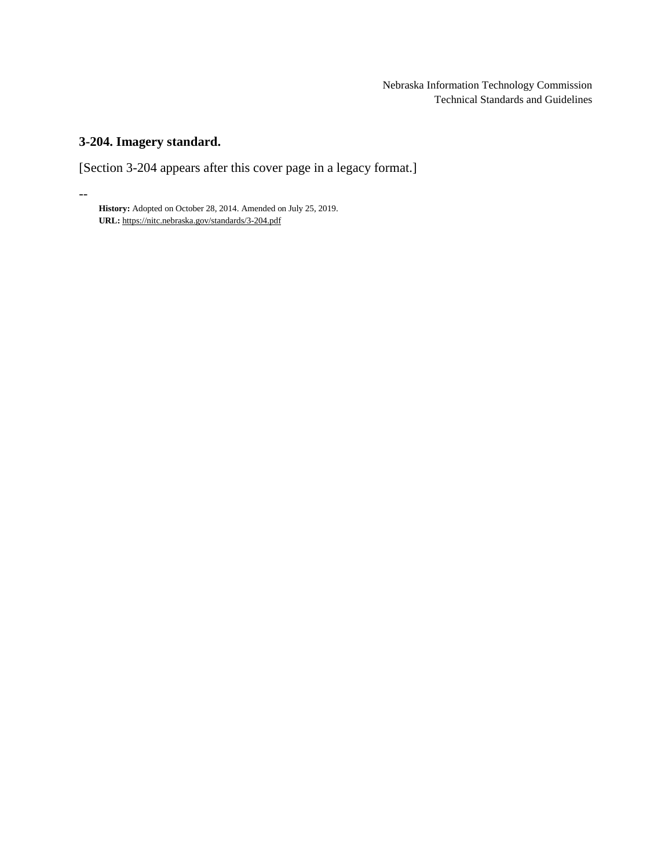Nebraska Information Technology Commission Technical Standards and Guidelines

# **3-204. Imagery standard.**

--

[Section 3-204 appears after this cover page in a legacy format.]

**History:** Adopted on October 28, 2014. Amended on July 25, 2019. **URL:** <https://nitc.nebraska.gov/standards/3-204.pdf>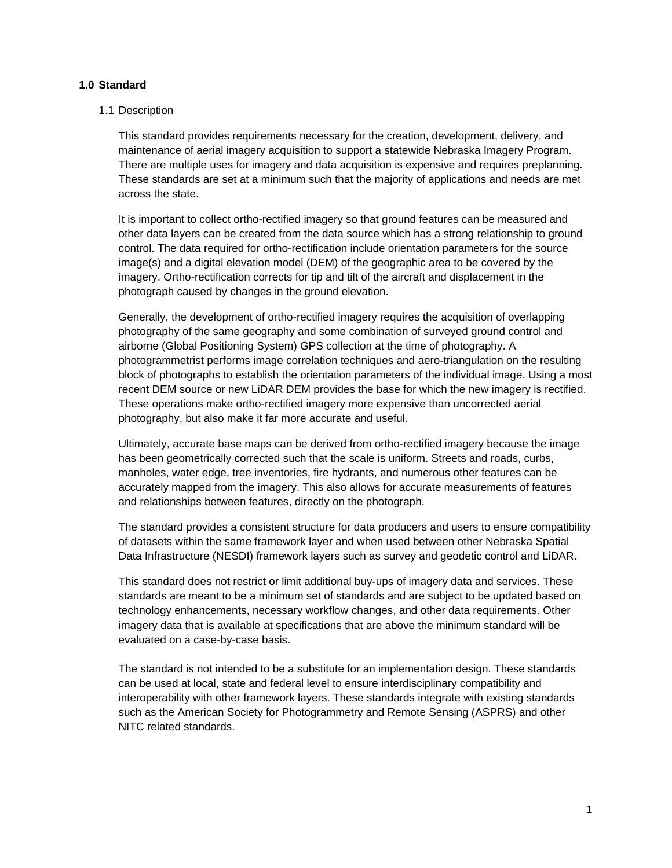# **1.0 Standard**

## 1.1 Description

This standard provides requirements necessary for the creation, development, delivery, and maintenance of aerial imagery acquisition to support a statewide Nebraska Imagery Program. There are multiple uses for imagery and data acquisition is expensive and requires preplanning. These standards are set at a minimum such that the majority of applications and needs are met across the state.

It is important to collect ortho-rectified imagery so that ground features can be measured and other data layers can be created from the data source which has a strong relationship to ground control. The data required for ortho-rectification include orientation parameters for the source image(s) and a digital elevation model (DEM) of the geographic area to be covered by the imagery. Ortho-rectification corrects for tip and tilt of the aircraft and displacement in the photograph caused by changes in the ground elevation.

Generally, the development of ortho-rectified imagery requires the acquisition of overlapping photography of the same geography and some combination of surveyed ground control and airborne (Global Positioning System) GPS collection at the time of photography. A photogrammetrist performs image correlation techniques and aero-triangulation on the resulting block of photographs to establish the orientation parameters of the individual image. Using a most recent DEM source or new LiDAR DEM provides the base for which the new imagery is rectified. These operations make ortho-rectified imagery more expensive than uncorrected aerial photography, but also make it far more accurate and useful.

Ultimately, accurate base maps can be derived from ortho-rectified imagery because the image has been geometrically corrected such that the scale is uniform. Streets and roads, curbs, manholes, water edge, tree inventories, fire hydrants, and numerous other features can be accurately mapped from the imagery. This also allows for accurate measurements of features and relationships between features, directly on the photograph.

The standard provides a consistent structure for data producers and users to ensure compatibility of datasets within the same framework layer and when used between other Nebraska Spatial Data Infrastructure (NESDI) framework layers such as survey and geodetic control and LiDAR.

This standard does not restrict or limit additional buy-ups of imagery data and services. These standards are meant to be a minimum set of standards and are subject to be updated based on technology enhancements, necessary workflow changes, and other data requirements. Other imagery data that is available at specifications that are above the minimum standard will be evaluated on a case-by-case basis.

The standard is not intended to be a substitute for an implementation design. These standards can be used at local, state and federal level to ensure interdisciplinary compatibility and interoperability with other framework layers. These standards integrate with existing standards such as the American Society for Photogrammetry and Remote Sensing (ASPRS) and other NITC related standards.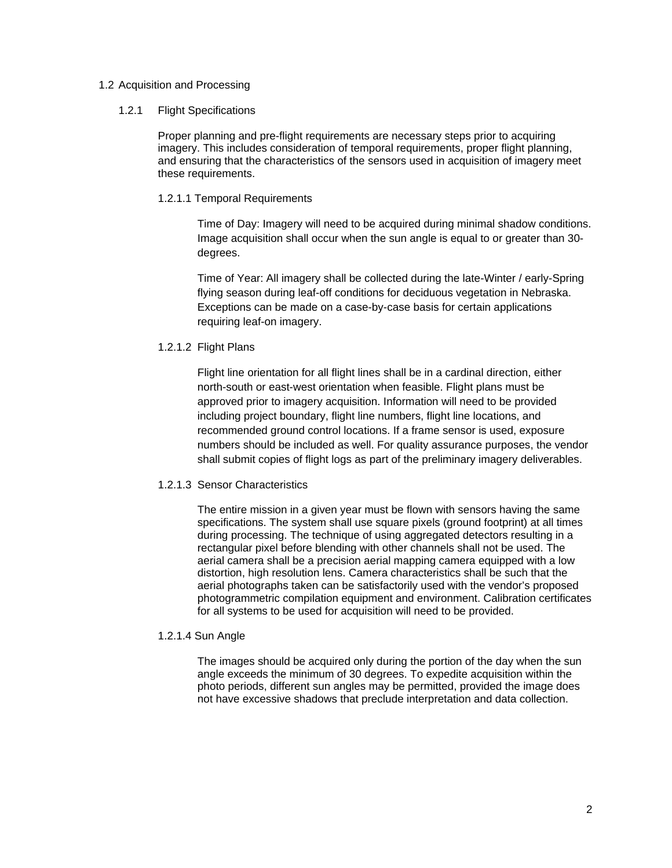## 1.2 Acquisition and Processing

#### 1.2.1 Flight Specifications

Proper planning and pre-flight requirements are necessary steps prior to acquiring imagery. This includes consideration of temporal requirements, proper flight planning, and ensuring that the characteristics of the sensors used in acquisition of imagery meet these requirements.

## 1.2.1.1 Temporal Requirements

Time of Day: Imagery will need to be acquired during minimal shadow conditions. Image acquisition shall occur when the sun angle is equal to or greater than 30 degrees.

Time of Year: All imagery shall be collected during the late-Winter / early-Spring flying season during leaf-off conditions for deciduous vegetation in Nebraska. Exceptions can be made on a case-by-case basis for certain applications requiring leaf-on imagery.

## 1.2.1.2 Flight Plans

Flight line orientation for all flight lines shall be in a cardinal direction, either north-south or east-west orientation when feasible. Flight plans must be approved prior to imagery acquisition. Information will need to be provided including project boundary, flight line numbers, flight line locations, and recommended ground control locations. If a frame sensor is used, exposure numbers should be included as well. For quality assurance purposes, the vendor shall submit copies of flight logs as part of the preliminary imagery deliverables.

## 1.2.1.3 Sensor Characteristics

The entire mission in a given year must be flown with sensors having the same specifications. The system shall use square pixels (ground footprint) at all times during processing. The technique of using aggregated detectors resulting in a rectangular pixel before blending with other channels shall not be used. The aerial camera shall be a precision aerial mapping camera equipped with a low distortion, high resolution lens. Camera characteristics shall be such that the aerial photographs taken can be satisfactorily used with the vendor's proposed photogrammetric compilation equipment and environment. Calibration certificates for all systems to be used for acquisition will need to be provided.

#### 1.2.1.4 Sun Angle

The images should be acquired only during the portion of the day when the sun angle exceeds the minimum of 30 degrees. To expedite acquisition within the photo periods, different sun angles may be permitted, provided the image does not have excessive shadows that preclude interpretation and data collection.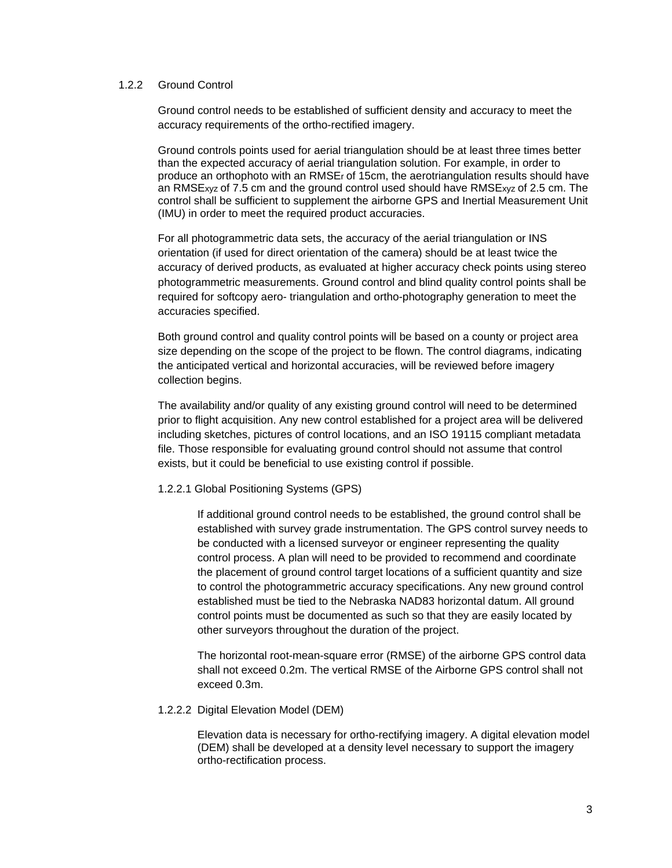# 1.2.2 Ground Control

Ground control needs to be established of sufficient density and accuracy to meet the accuracy requirements of the ortho-rectified imagery.

Ground controls points used for aerial triangulation should be at least three times better than the expected accuracy of aerial triangulation solution. For example, in order to produce an orthophoto with an RMSEr of 15cm, the aerotriangulation results should have an RMSExyz of 7.5 cm and the ground control used should have RMSExyz of 2.5 cm. The control shall be sufficient to supplement the airborne GPS and Inertial Measurement Unit (IMU) in order to meet the required product accuracies.

For all photogrammetric data sets, the accuracy of the aerial triangulation or INS orientation (if used for direct orientation of the camera) should be at least twice the accuracy of derived products, as evaluated at higher accuracy check points using stereo photogrammetric measurements. Ground control and blind quality control points shall be required for softcopy aero- triangulation and ortho-photography generation to meet the accuracies specified.

Both ground control and quality control points will be based on a county or project area size depending on the scope of the project to be flown. The control diagrams, indicating the anticipated vertical and horizontal accuracies, will be reviewed before imagery collection begins.

The availability and/or quality of any existing ground control will need to be determined prior to flight acquisition. Any new control established for a project area will be delivered including sketches, pictures of control locations, and an ISO 19115 compliant metadata file. Those responsible for evaluating ground control should not assume that control exists, but it could be beneficial to use existing control if possible.

#### 1.2.2.1 Global Positioning Systems (GPS)

If additional ground control needs to be established, the ground control shall be established with survey grade instrumentation. The GPS control survey needs to be conducted with a licensed surveyor or engineer representing the quality control process. A plan will need to be provided to recommend and coordinate the placement of ground control target locations of a sufficient quantity and size to control the photogrammetric accuracy specifications. Any new ground control established must be tied to the Nebraska NAD83 horizontal datum. All ground control points must be documented as such so that they are easily located by other surveyors throughout the duration of the project.

The horizontal root-mean-square error (RMSE) of the airborne GPS control data shall not exceed 0.2m. The vertical RMSE of the Airborne GPS control shall not exceed 0.3m.

#### 1.2.2.2 Digital Elevation Model (DEM)

Elevation data is necessary for ortho-rectifying imagery. A digital elevation model (DEM) shall be developed at a density level necessary to support the imagery ortho-rectification process.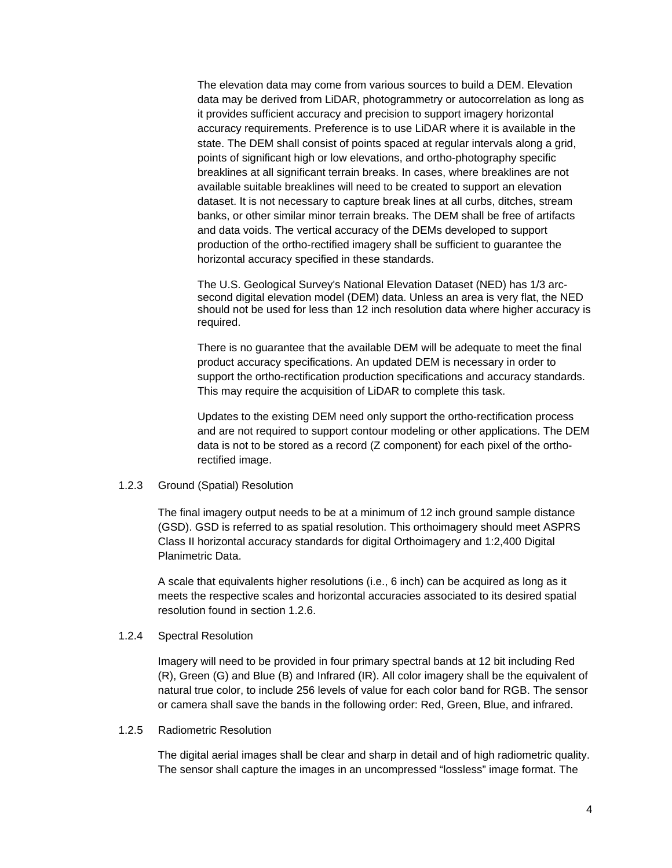The elevation data may come from various sources to build a DEM. Elevation data may be derived from LiDAR, photogrammetry or autocorrelation as long as it provides sufficient accuracy and precision to support imagery horizontal accuracy requirements. Preference is to use LiDAR where it is available in the state. The DEM shall consist of points spaced at regular intervals along a grid, points of significant high or low elevations, and ortho-photography specific breaklines at all significant terrain breaks. In cases, where breaklines are not available suitable breaklines will need to be created to support an elevation dataset. It is not necessary to capture break lines at all curbs, ditches, stream banks, or other similar minor terrain breaks. The DEM shall be free of artifacts and data voids. The vertical accuracy of the DEMs developed to support production of the ortho-rectified imagery shall be sufficient to guarantee the horizontal accuracy specified in these standards.

The U.S. Geological Survey's National Elevation Dataset (NED) has 1/3 arcsecond digital elevation model (DEM) data. Unless an area is very flat, the NED should not be used for less than 12 inch resolution data where higher accuracy is required.

There is no guarantee that the available DEM will be adequate to meet the final product accuracy specifications. An updated DEM is necessary in order to support the ortho-rectification production specifications and accuracy standards. This may require the acquisition of LiDAR to complete this task.

Updates to the existing DEM need only support the ortho-rectification process and are not required to support contour modeling or other applications. The DEM data is not to be stored as a record (Z component) for each pixel of the orthorectified image.

#### 1.2.3 Ground (Spatial) Resolution

The final imagery output needs to be at a minimum of 12 inch ground sample distance (GSD). GSD is referred to as spatial resolution. This orthoimagery should meet ASPRS Class II horizontal accuracy standards for digital Orthoimagery and 1:2,400 Digital Planimetric Data.

A scale that equivalents higher resolutions (i.e., 6 inch) can be acquired as long as it meets the respective scales and horizontal accuracies associated to its desired spatial resolution found in section 1.2.6.

#### 1.2.4 Spectral Resolution

Imagery will need to be provided in four primary spectral bands at 12 bit including Red (R), Green (G) and Blue (B) and Infrared (IR). All color imagery shall be the equivalent of natural true color, to include 256 levels of value for each color band for RGB. The sensor or camera shall save the bands in the following order: Red, Green, Blue, and infrared.

#### 1.2.5 Radiometric Resolution

The digital aerial images shall be clear and sharp in detail and of high radiometric quality. The sensor shall capture the images in an uncompressed "lossless" image format. The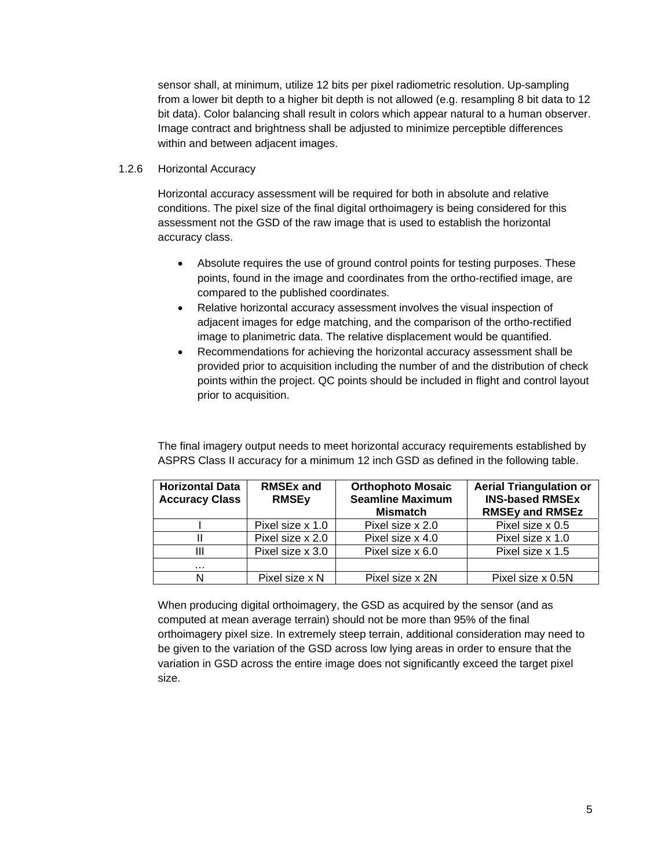sensor shall, at minimum, utilize 12 bits per pixel radiometric resolution. Up-sampling from a lower bit depth to a higher bit depth is not allowed (e.g. resampling 8 bit data to 12 bit data). Color balancing shall result in colors which appear natural to a human observer. Image contract and brightness shall be adjusted to minimize perceptible differences within and between adjacent images.

# 1.2.6 Horizontal Accuracy

Horizontal accuracy assessment will be required for both in absolute and relative conditions. The pixel size of the final digital orthoimagery is being considered for this assessment not the GSD of the raw image that is used to establish the horizontal accuracy class.

- Absolute requires the use of ground control points for testing purposes. These points, found in the image and coordinates from the ortho-rectified image, are compared to the published coordinates.
- Relative horizontal accuracy assessment involves the visual inspection of adjacent images for edge matching, and the comparison of the ortho-rectified image to planimetric data. The relative displacement would be quantified.
- Recommendations for achieving the horizontal accuracy assessment shall be provided prior to acquisition including the number of and the distribution of check points within the project. QC points should be included in flight and control layout prior to acquisition.

The final imagery output needs to meet horizontal accuracy requirements established by ASPRS Class II accuracy for a minimum 12 inch GSD as defined in the following table.

| <b>Horizontal Data</b><br><b>Accuracy Class</b> | <b>RMSEx and</b><br><b>RMSEy</b> | <b>Orthophoto Mosaic</b><br><b>Seamline Maximum</b><br><b>Mismatch</b> | <b>Aerial Triangulation or</b><br><b>INS-based RMSEx</b><br><b>RMSEy and RMSEz</b> |
|-------------------------------------------------|----------------------------------|------------------------------------------------------------------------|------------------------------------------------------------------------------------|
|                                                 | Pixel size x 1.0                 | Pixel size x 2.0                                                       | Pixel size x 0.5                                                                   |
|                                                 | Pixel size x 2.0                 | Pixel size x 4.0                                                       | Pixel size x 1.0                                                                   |
| Ш                                               | Pixel size x 3.0                 | Pixel size x 6.0                                                       | Pixel size x 1.5                                                                   |
| .                                               |                                  |                                                                        |                                                                                    |
| N                                               | Pixel size x N                   | Pixel size x 2N                                                        | Pixel size x 0.5N                                                                  |

When producing digital orthoimagery, the GSD as acquired by the sensor (and as computed at mean average terrain) should not be more than 95% of the final orthoimagery pixel size. In extremely steep terrain, additional consideration may need to be given to the variation of the GSD across low lying areas in order to ensure that the variation in GSD across the entire image does not significantly exceed the target pixel size.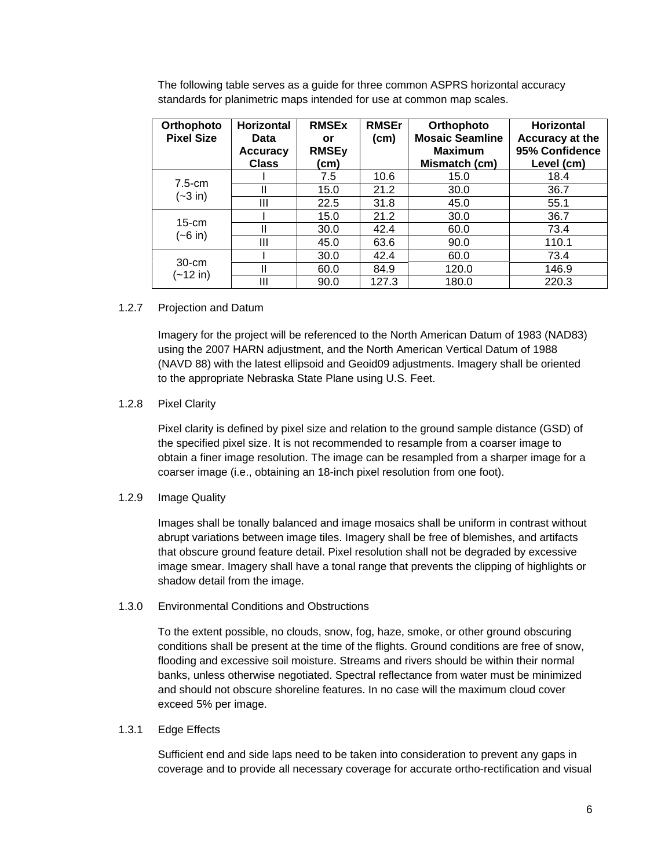The following table serves as a guide for three common ASPRS horizontal accuracy standards for planimetric maps intended for use at common map scales.

| Orthophoto<br><b>Pixel Size</b> | <b>Horizontal</b><br>Data<br><b>Accuracy</b><br><b>Class</b> | <b>RMSEx</b><br>or<br><b>RMSEy</b><br>(cm) | <b>RMSEr</b><br>(cm) | Orthophoto<br><b>Mosaic Seamline</b><br><b>Maximum</b><br>Mismatch (cm) | <b>Horizontal</b><br>Accuracy at the<br>95% Confidence<br>Level (cm) |
|---------------------------------|--------------------------------------------------------------|--------------------------------------------|----------------------|-------------------------------------------------------------------------|----------------------------------------------------------------------|
| $7.5$ -cm<br>$(-3 in)$          |                                                              | 7.5                                        | 10.6                 | 15.0                                                                    | 18.4                                                                 |
|                                 | Ш                                                            | 15.0                                       | 21.2                 | 30.0                                                                    | 36.7                                                                 |
|                                 | Ш                                                            | 22.5                                       | 31.8                 | 45.0                                                                    | 55.1                                                                 |
| $15$ -cm<br>$(-6 in)$           |                                                              | 15.0                                       | 21.2                 | 30.0                                                                    | 36.7                                                                 |
|                                 | II                                                           | 30.0                                       | 42.4                 | 60.0                                                                    | 73.4                                                                 |
|                                 | Ш                                                            | 45.0                                       | 63.6                 | 90.0                                                                    | 110.1                                                                |
| $30-cm$<br>(~12 in)             |                                                              | 30.0                                       | 42.4                 | 60.0                                                                    | 73.4                                                                 |
|                                 | Ш                                                            | 60.0                                       | 84.9                 | 120.0                                                                   | 146.9                                                                |
|                                 | Ш                                                            | 90.0                                       | 127.3                | 180.0                                                                   | 220.3                                                                |

## 1.2.7 Projection and Datum

Imagery for the project will be referenced to the North American Datum of 1983 (NAD83) using the 2007 HARN adjustment, and the North American Vertical Datum of 1988 (NAVD 88) with the latest ellipsoid and Geoid09 adjustments. Imagery shall be oriented to the appropriate Nebraska State Plane using U.S. Feet.

# 1.2.8 Pixel Clarity

Pixel clarity is defined by pixel size and relation to the ground sample distance (GSD) of the specified pixel size. It is not recommended to resample from a coarser image to obtain a finer image resolution. The image can be resampled from a sharper image for a coarser image (i.e., obtaining an 18-inch pixel resolution from one foot).

## 1.2.9 Image Quality

Images shall be tonally balanced and image mosaics shall be uniform in contrast without abrupt variations between image tiles. Imagery shall be free of blemishes, and artifacts that obscure ground feature detail. Pixel resolution shall not be degraded by excessive image smear. Imagery shall have a tonal range that prevents the clipping of highlights or shadow detail from the image.

## 1.3.0 Environmental Conditions and Obstructions

To the extent possible, no clouds, snow, fog, haze, smoke, or other ground obscuring conditions shall be present at the time of the flights. Ground conditions are free of snow, flooding and excessive soil moisture. Streams and rivers should be within their normal banks, unless otherwise negotiated. Spectral reflectance from water must be minimized and should not obscure shoreline features. In no case will the maximum cloud cover exceed 5% per image.

## 1.3.1 Edge Effects

Sufficient end and side laps need to be taken into consideration to prevent any gaps in coverage and to provide all necessary coverage for accurate ortho-rectification and visual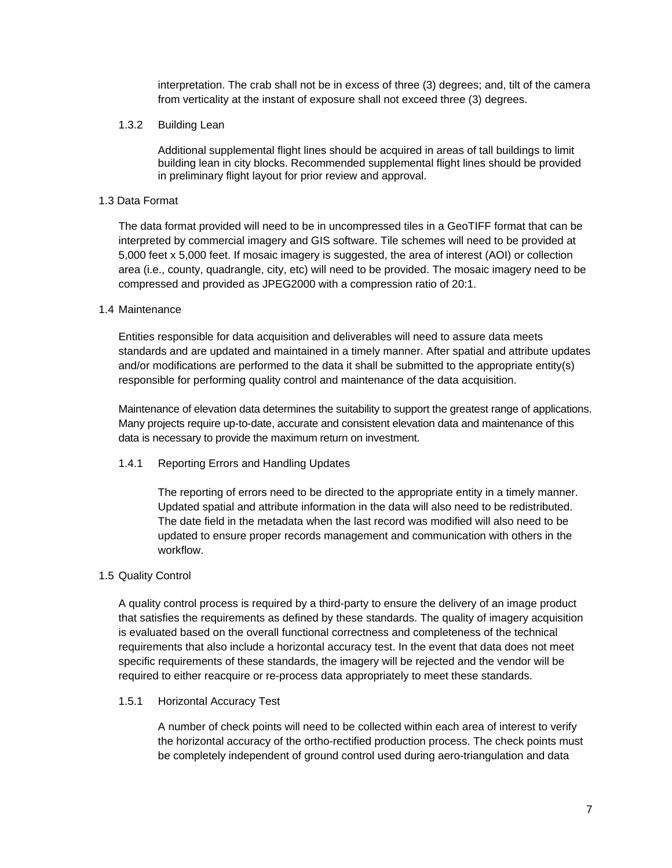interpretation. The crab shall not be in excess of three (3) degrees; and, tilt of the camera from verticality at the instant of exposure shall not exceed three (3) degrees.

## 1.3.2 Building Lean

Additional supplemental flight lines should be acquired in areas of tall buildings to limit building lean in city blocks. Recommended supplemental flight lines should be provided in preliminary flight layout for prior review and approval.

# 1.3 Data Format

The data format provided will need to be in uncompressed tiles in a GeoTIFF format that can be interpreted by commercial imagery and GIS software. Tile schemes will need to be provided at 5,000 feet x 5,000 feet. If mosaic imagery is suggested, the area of interest (AOI) or collection area (i.e., county, quadrangle, city, etc) will need to be provided. The mosaic imagery need to be compressed and provided as JPEG2000 with a compression ratio of 20:1.

## 1.4 Maintenance

Entities responsible for data acquisition and deliverables will need to assure data meets standards and are updated and maintained in a timely manner. After spatial and attribute updates and/or modifications are performed to the data it shall be submitted to the appropriate entity(s) responsible for performing quality control and maintenance of the data acquisition.

Maintenance of elevation data determines the suitability to support the greatest range of applications. Many projects require up-to-date, accurate and consistent elevation data and maintenance of this data is necessary to provide the maximum return on investment.

1.4.1 Reporting Errors and Handling Updates

The reporting of errors need to be directed to the appropriate entity in a timely manner. Updated spatial and attribute information in the data will also need to be redistributed. The date field in the metadata when the last record was modified will also need to be updated to ensure proper records management and communication with others in the workflow.

# 1.5 Quality Control

A quality control process is required by a third-party to ensure the delivery of an image product that satisfies the requirements as defined by these standards. The quality of imagery acquisition is evaluated based on the overall functional correctness and completeness of the technical requirements that also include a horizontal accuracy test. In the event that data does not meet specific requirements of these standards, the imagery will be rejected and the vendor will be required to either reacquire or re-process data appropriately to meet these standards.

## 1.5.1 Horizontal Accuracy Test

A number of check points will need to be collected within each area of interest to verify the horizontal accuracy of the ortho-rectified production process. The check points must be completely independent of ground control used during aero-triangulation and data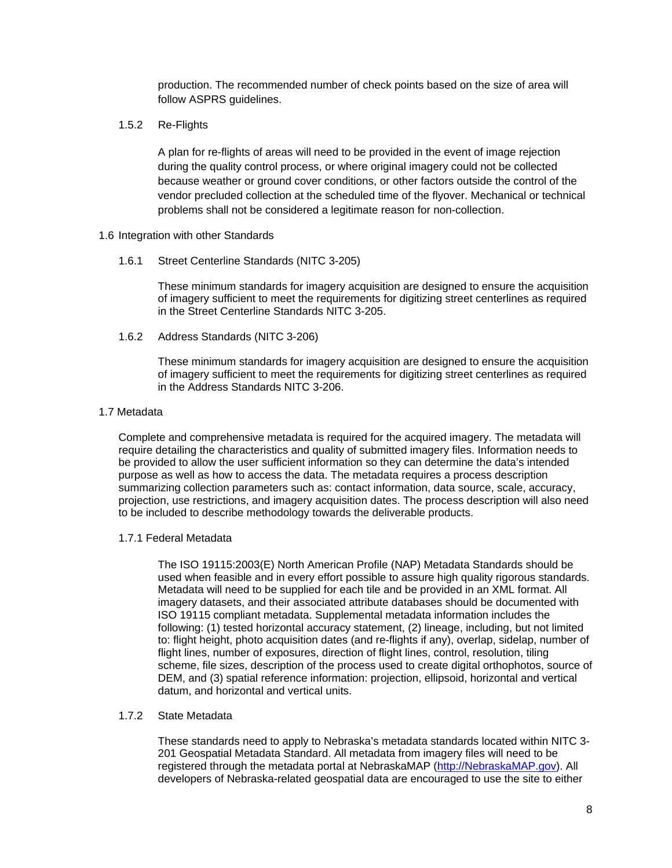production. The recommended number of check points based on the size of area will follow ASPRS guidelines.

1.5.2 Re-Flights

A plan for re-flights of areas will need to be provided in the event of image rejection during the quality control process, or where original imagery could not be collected because weather or ground cover conditions, or other factors outside the control of the vendor precluded collection at the scheduled time of the flyover. Mechanical or technical problems shall not be considered a legitimate reason for non-collection.

- 1.6 Integration with other Standards
	- 1.6.1 Street Centerline Standards (NITC 3-205)

These minimum standards for imagery acquisition are designed to ensure the acquisition of imagery sufficient to meet the requirements for digitizing street centerlines as required in the Street Centerline Standards NITC 3-205.

1.6.2 Address Standards (NITC 3-206)

These minimum standards for imagery acquisition are designed to ensure the acquisition of imagery sufficient to meet the requirements for digitizing street centerlines as required in the Address Standards NITC 3-206.

## 1.7 Metadata

Complete and comprehensive metadata is required for the acquired imagery. The metadata will require detailing the characteristics and quality of submitted imagery files. Information needs to be provided to allow the user sufficient information so they can determine the data's intended purpose as well as how to access the data. The metadata requires a process description summarizing collection parameters such as: contact information, data source, scale, accuracy, projection, use restrictions, and imagery acquisition dates. The process description will also need to be included to describe methodology towards the deliverable products.

## 1.7.1 Federal Metadata

The ISO 19115:2003(E) North American Profile (NAP) Metadata Standards should be used when feasible and in every effort possible to assure high quality rigorous standards. Metadata will need to be supplied for each tile and be provided in an XML format. All imagery datasets, and their associated attribute databases should be documented with ISO 19115 compliant metadata. Supplemental metadata information includes the following: (1) tested horizontal accuracy statement, (2) lineage, including, but not limited to: flight height, photo acquisition dates (and re-flights if any), overlap, sidelap, number of flight lines, number of exposures, direction of flight lines, control, resolution, tiling scheme, file sizes, description of the process used to create digital orthophotos, source of DEM, and (3) spatial reference information: projection, ellipsoid, horizontal and vertical datum, and horizontal and vertical units.

## 1.7.2 State Metadata

These standards need to apply to Nebraska's metadata standards located within NITC 3- 201 Geospatial Metadata Standard. All metadata from imagery files will need to be registered through the metadata portal at NebraskaMAP (http://NebraskaMAP.gov). All developers of Nebraska-related geospatial data are encouraged to use the site to either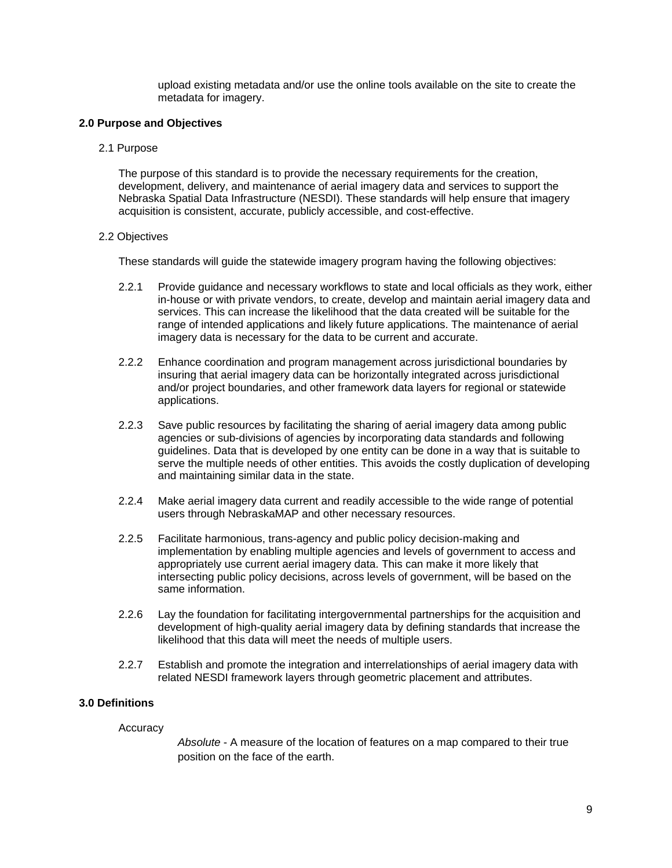upload existing metadata and/or use the online tools available on the site to create the metadata for imagery.

## **2.0 Purpose and Objectives**

2.1 Purpose

The purpose of this standard is to provide the necessary requirements for the creation, development, delivery, and maintenance of aerial imagery data and services to support the Nebraska Spatial Data Infrastructure (NESDI). These standards will help ensure that imagery acquisition is consistent, accurate, publicly accessible, and cost-effective.

## 2.2 Objectives

These standards will guide the statewide imagery program having the following objectives:

- 2.2.1 Provide guidance and necessary workflows to state and local officials as they work, either in-house or with private vendors, to create, develop and maintain aerial imagery data and services. This can increase the likelihood that the data created will be suitable for the range of intended applications and likely future applications. The maintenance of aerial imagery data is necessary for the data to be current and accurate.
- 2.2.2 Enhance coordination and program management across jurisdictional boundaries by insuring that aerial imagery data can be horizontally integrated across jurisdictional and/or project boundaries, and other framework data layers for regional or statewide applications.
- 2.2.3 Save public resources by facilitating the sharing of aerial imagery data among public agencies or sub-divisions of agencies by incorporating data standards and following guidelines. Data that is developed by one entity can be done in a way that is suitable to serve the multiple needs of other entities. This avoids the costly duplication of developing and maintaining similar data in the state.
- 2.2.4 Make aerial imagery data current and readily accessible to the wide range of potential users through NebraskaMAP and other necessary resources.
- 2.2.5 Facilitate harmonious, trans-agency and public policy decision-making and implementation by enabling multiple agencies and levels of government to access and appropriately use current aerial imagery data. This can make it more likely that intersecting public policy decisions, across levels of government, will be based on the same information.
- 2.2.6 Lay the foundation for facilitating intergovernmental partnerships for the acquisition and development of high-quality aerial imagery data by defining standards that increase the likelihood that this data will meet the needs of multiple users.
- 2.2.7 Establish and promote the integration and interrelationships of aerial imagery data with related NESDI framework layers through geometric placement and attributes.

# **3.0 Definitions**

## **Accuracy**

*Absolute* - A measure of the location of features on a map compared to their true position on the face of the earth.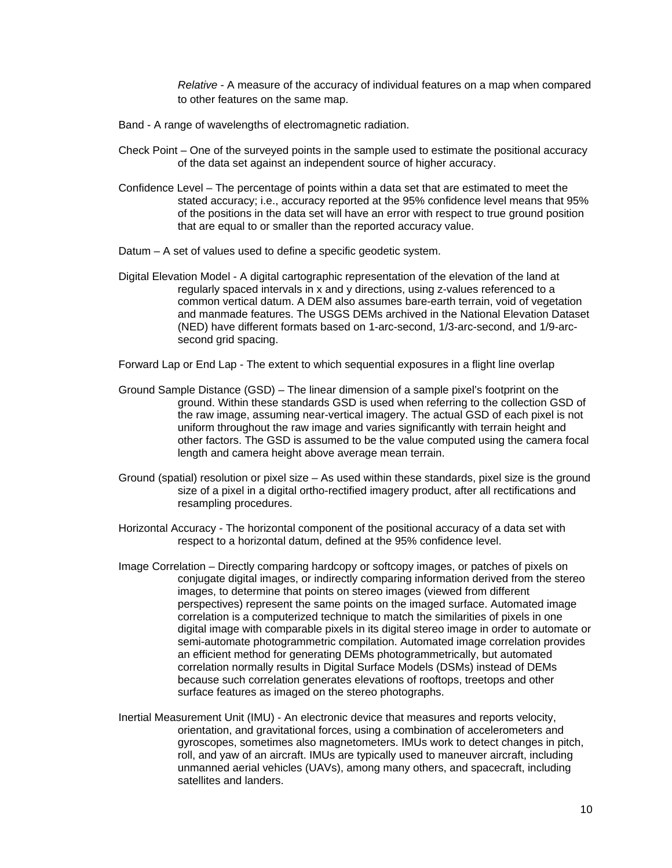*Relative* - A measure of the accuracy of individual features on a map when compared to other features on the same map.

- Band A range of wavelengths of electromagnetic radiation.
- Check Point One of the surveyed points in the sample used to estimate the positional accuracy of the data set against an independent source of higher accuracy.
- Confidence Level The percentage of points within a data set that are estimated to meet the stated accuracy; i.e., accuracy reported at the 95% confidence level means that 95% of the positions in the data set will have an error with respect to true ground position that are equal to or smaller than the reported accuracy value.
- Datum A set of values used to define a specific geodetic system.
- Digital Elevation Model A digital cartographic representation of the elevation of the land at regularly spaced intervals in x and y directions, using z-values referenced to a common vertical datum. A DEM also assumes bare-earth terrain, void of vegetation and manmade features. The USGS DEMs archived in the National Elevation Dataset (NED) have different formats based on 1-arc-second, 1/3-arc-second, and 1/9-arcsecond grid spacing.
- Forward Lap or End Lap The extent to which sequential exposures in a flight line overlap
- Ground Sample Distance (GSD) The linear dimension of a sample pixel's footprint on the ground. Within these standards GSD is used when referring to the collection GSD of the raw image, assuming near-vertical imagery. The actual GSD of each pixel is not uniform throughout the raw image and varies significantly with terrain height and other factors. The GSD is assumed to be the value computed using the camera focal length and camera height above average mean terrain.
- Ground (spatial) resolution or pixel size As used within these standards, pixel size is the ground size of a pixel in a digital ortho-rectified imagery product, after all rectifications and resampling procedures.
- Horizontal Accuracy The horizontal component of the positional accuracy of a data set with respect to a horizontal datum, defined at the 95% confidence level.
- Image Correlation Directly comparing hardcopy or softcopy images, or patches of pixels on conjugate digital images, or indirectly comparing information derived from the stereo images, to determine that points on stereo images (viewed from different perspectives) represent the same points on the imaged surface. Automated image correlation is a computerized technique to match the similarities of pixels in one digital image with comparable pixels in its digital stereo image in order to automate or semi-automate photogrammetric compilation. Automated image correlation provides an efficient method for generating DEMs photogrammetrically, but automated correlation normally results in Digital Surface Models (DSMs) instead of DEMs because such correlation generates elevations of rooftops, treetops and other surface features as imaged on the stereo photographs.
- Inertial Measurement Unit (IMU) An electronic device that measures and reports velocity, orientation, and gravitational forces, using a combination of accelerometers and gyroscopes, sometimes also magnetometers. IMUs work to detect changes in pitch, roll, and yaw of an aircraft. IMUs are typically used to maneuver aircraft, including unmanned aerial vehicles (UAVs), among many others, and spacecraft, including satellites and landers.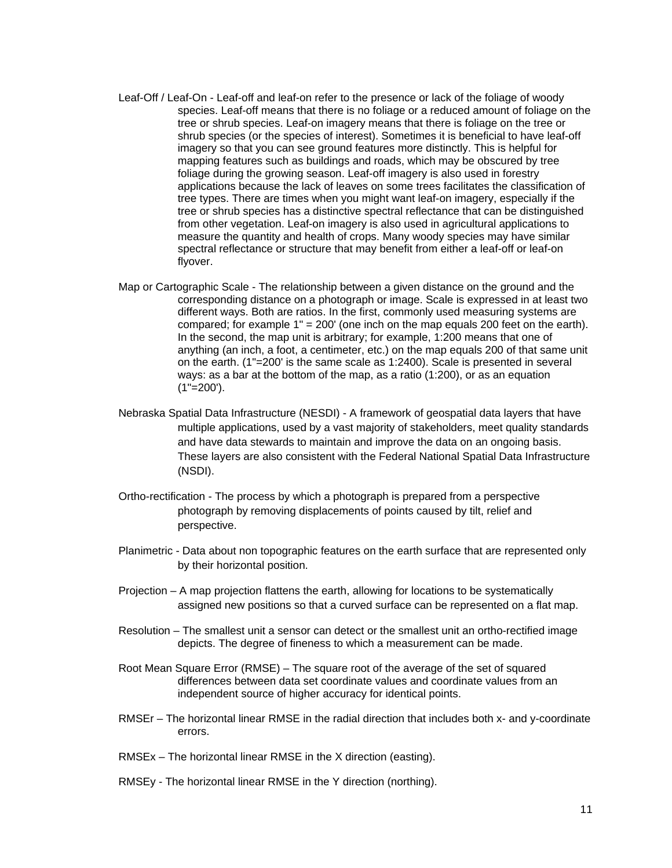- Leaf-Off / Leaf-On Leaf-off and leaf-on refer to the presence or lack of the foliage of woody species. Leaf-off means that there is no foliage or a reduced amount of foliage on the tree or shrub species. Leaf-on imagery means that there is foliage on the tree or shrub species (or the species of interest). Sometimes it is beneficial to have leaf-off imagery so that you can see ground features more distinctly. This is helpful for mapping features such as buildings and roads, which may be obscured by tree foliage during the growing season. Leaf-off imagery is also used in forestry applications because the lack of leaves on some trees facilitates the classification of tree types. There are times when you might want leaf-on imagery, especially if the tree or shrub species has a distinctive spectral reflectance that can be distinguished from other vegetation. Leaf-on imagery is also used in agricultural applications to measure the quantity and health of crops. Many woody species may have similar spectral reflectance or structure that may benefit from either a leaf-off or leaf-on flyover.
- Map or Cartographic Scale The relationship between a given distance on the ground and the corresponding distance on a photograph or image. Scale is expressed in at least two different ways. Both are ratios. In the first, commonly used measuring systems are compared; for example 1" = 200' (one inch on the map equals 200 feet on the earth). In the second, the map unit is arbitrary; for example, 1:200 means that one of anything (an inch, a foot, a centimeter, etc.) on the map equals 200 of that same unit on the earth. (1"=200' is the same scale as 1:2400). Scale is presented in several ways: as a bar at the bottom of the map, as a ratio (1:200), or as an equation  $(1" = 200')$ .
- Nebraska Spatial Data Infrastructure (NESDI) A framework of geospatial data layers that have multiple applications, used by a vast majority of stakeholders, meet quality standards and have data stewards to maintain and improve the data on an ongoing basis. These layers are also consistent with the Federal National Spatial Data Infrastructure (NSDI).
- Ortho-rectification The process by which a photograph is prepared from a perspective photograph by removing displacements of points caused by tilt, relief and perspective.
- Planimetric Data about non topographic features on the earth surface that are represented only by their horizontal position.
- Projection A map projection flattens the earth, allowing for locations to be systematically assigned new positions so that a curved surface can be represented on a flat map.
- Resolution The smallest unit a sensor can detect or the smallest unit an ortho-rectified image depicts. The degree of fineness to which a measurement can be made.
- Root Mean Square Error (RMSE) The square root of the average of the set of squared differences between data set coordinate values and coordinate values from an independent source of higher accuracy for identical points.
- RMSEr The horizontal linear RMSE in the radial direction that includes both x- and y-coordinate errors.
- RMSEx The horizontal linear RMSE in the X direction (easting).
- RMSEy The horizontal linear RMSE in the Y direction (northing).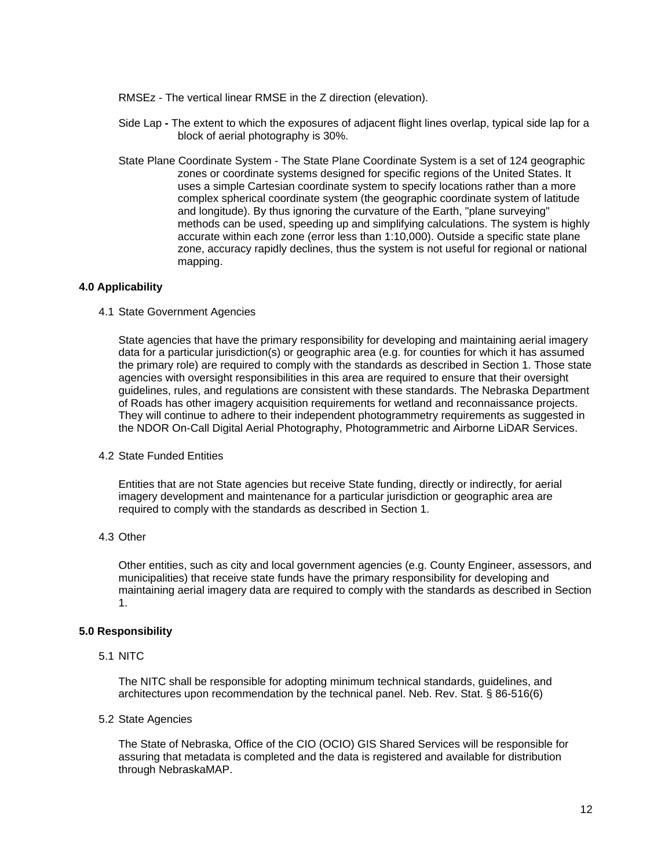- RMSEz The vertical linear RMSE in the Z direction (elevation).
- Side LapThe extent to which the exposures of adjacent flight lines overlap, typical side lap for a block of aerial photography is 30%.
- State Plane Coordinate System The State Plane Coordinate System is a set of 124 geographic zones or coordinate systems designed for specific regions of the United States. It uses a simple Cartesian coordinate system to specify locations rather than a more complex spherical coordinate system (the geographic coordinate system of latitude and longitude). By thus ignoring the curvature of the Earth, "plane surveying" methods can be used, speeding up and simplifying calculations. The system is highly accurate within each zone (error less than 1:10,000). Outside a specific state plane zone, accuracy rapidly declines, thus the system is not useful for regional or national mapping.

#### **4.0 Applicability**

4.1 State Government Agencies

State agencies that have the primary responsibility for developing and maintaining aerial imagery data for a particular jurisdiction(s) or geographic area (e.g. for counties for which it has assumed the primary role) are required to comply with the standards as described in Section 1. Those state agencies with oversight responsibilities in this area are required to ensure that their oversight guidelines, rules, and regulations are consistent with these standards. The Nebraska Department of Roads has other imagery acquisition requirements for wetland and reconnaissance projects. They will continue to adhere to their independent photogrammetry requirements as suggested in the NDOR On-Call Digital Aerial Photography, Photogrammetric and Airborne LiDAR Services.

4.2 State Funded Entities

Entities that are not State agencies but receive State funding, directly or indirectly, for aerial imagery development and maintenance for a particular jurisdiction or geographic area are required to comply with the standards as described in Section 1.

4.3 Other

Other entities, such as city and local government agencies (e.g. County Engineer, assessors, and municipalities) that receive state funds have the primary responsibility for developing and maintaining aerial imagery data are required to comply with the standards as described in Section 1.

## **5.0 Responsibility**

5.1 NITC

The NITC shall be responsible for adopting minimum technical standards, guidelines, and architectures upon recommendation by the technical panel. Neb. Rev. Stat. § 86-516(6)

5.2 State Agencies

The State of Nebraska, Office of the CIO (OCIO) GIS Shared Services will be responsible for assuring that metadata is completed and the data is registered and available for distribution through NebraskaMAP.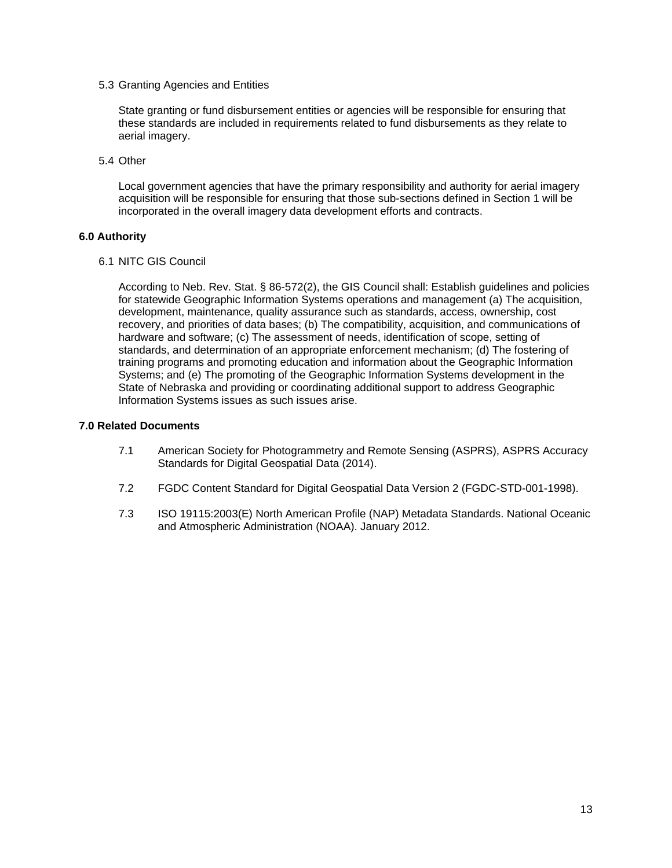5.3 Granting Agencies and Entities

State granting or fund disbursement entities or agencies will be responsible for ensuring that these standards are included in requirements related to fund disbursements as they relate to aerial imagery.

5.4 Other

Local government agencies that have the primary responsibility and authority for aerial imagery acquisition will be responsible for ensuring that those sub-sections defined in Section 1 will be incorporated in the overall imagery data development efforts and contracts.

## **6.0 Authority**

6.1 NITC GIS Council

According to Neb. Rev. Stat. § 86-572(2), the GIS Council shall: Establish guidelines and policies for statewide Geographic Information Systems operations and management (a) The acquisition, development, maintenance, quality assurance such as standards, access, ownership, cost recovery, and priorities of data bases; (b) The compatibility, acquisition, and communications of hardware and software; (c) The assessment of needs, identification of scope, setting of standards, and determination of an appropriate enforcement mechanism; (d) The fostering of training programs and promoting education and information about the Geographic Information Systems; and (e) The promoting of the Geographic Information Systems development in the State of Nebraska and providing or coordinating additional support to address Geographic Information Systems issues as such issues arise.

## **7.0 Related Documents**

- 7.1 American Society for Photogrammetry and Remote Sensing (ASPRS), ASPRS Accuracy Standards for Digital Geospatial Data (2014).
- 7.2 FGDC Content Standard for Digital Geospatial Data Version 2 (FGDC-STD-001-1998).
- 7.3 ISO 19115:2003(E) North American Profile (NAP) Metadata Standards. National Oceanic and Atmospheric Administration (NOAA). January 2012.